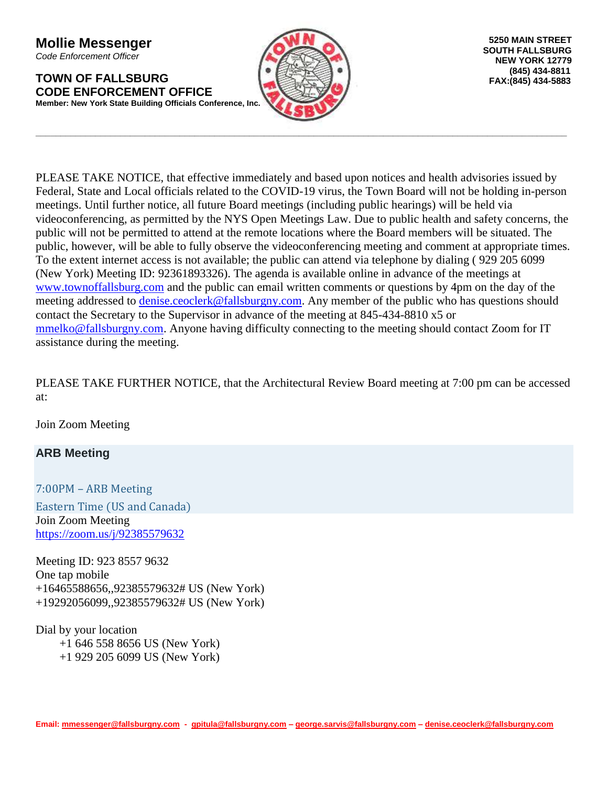**Mollie Messenger** *Code Enforcement Officer*

**TOWN OF FALLSBURG CODE ENFORCEMENT OFFICE Member: New York State Building Officials Conference, Inc.**



**\_\_\_\_\_\_\_\_\_\_\_\_\_\_\_\_\_\_\_\_\_\_\_\_\_\_\_\_\_\_\_\_\_\_\_\_\_\_\_\_\_\_\_\_\_\_\_\_\_\_\_\_\_\_\_\_\_\_\_\_\_\_\_\_\_\_\_\_\_\_\_\_\_\_\_\_\_\_\_\_\_\_\_\_\_\_\_\_\_\_\_\_\_\_\_\_\_\_\_\_\_\_\_\_\_\_\_**

PLEASE TAKE NOTICE, that effective immediately and based upon notices and health advisories issued by Federal, State and Local officials related to the COVID-19 virus, the Town Board will not be holding in-person meetings. Until further notice, all future Board meetings (including public hearings) will be held via videoconferencing, as permitted by the NYS Open Meetings Law. Due to public health and safety concerns, the public will not be permitted to attend at the remote locations where the Board members will be situated. The public, however, will be able to fully observe the videoconferencing meeting and comment at appropriate times. To the extent internet access is not available; the public can attend via telephone by dialing ( 929 205 6099 (New York) Meeting ID: 92361893326). The agenda is available online in advance of the meetings at [www.townoffallsburg.com](http://www.townoffallsburg.com/) and the public can email written comments or questions by 4pm on the day of the meeting addressed to [denise.ceoclerk@fallsburgny.com.](mailto:denise.ceoclerk@fallsburgny.com) Any member of the public who has questions should contact the Secretary to the Supervisor in advance of the meeting at 845-434-8810 x5 or [mmelko@fallsburgny.com.](mailto:mmelko@fallsburgny.com) Anyone having difficulty connecting to the meeting should contact Zoom for IT assistance during the meeting.

PLEASE TAKE FURTHER NOTICE, that the Architectural Review Board meeting at 7:00 pm can be accessed at:

Join Zoom Meeting

# **ARB Meeting**

7:00PM – ARB Meeting Eastern Time (US and Canada) Join Zoom Meeting

<https://zoom.us/j/92385579632>

Meeting ID: 923 8557 9632 One tap mobile +16465588656,,92385579632# US (New York) +19292056099,,92385579632# US (New York)

Dial by your location +1 646 558 8656 US (New York) +1 929 205 6099 US (New York)